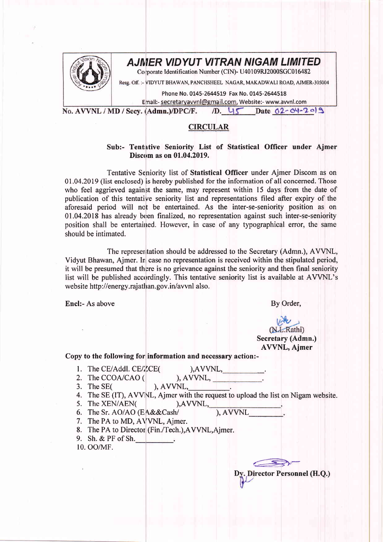

## AJMER VIDYUT VITRAN NIGAM LIMITED

Corporate Identification Number (CIN)- U40109RJ2000SGC016482

Resg. Off. :- VIDYUT BHAWAN, PANCHSHEEL NAGAR, MAKADWALI ROAD, AJMER-305004

Phone No. 0145-2644519 Fax No. 0145-2644518

Email:- secretaryavvnl@gmail.com, Website:- www.avvnl.com

D. 45 Date 02-04-2019 No. AVVNL / MD / Secv. (Admn.)/DPC/F.

## CIRCULAR

## Sub:- Tentative Seniority List of Statistical Officer under Ajmer Discom as on 01.04.2019.

Tentative Seniority list of Statistical Officer under Ajmer Discom as on 0I.04.2019 (list enclosed) is hereby published for the information of all concerned. Those who feel aggrieved against the same, may represent within 15 days from the date of publication of this tentative seniority list and representations filed after expiry of the aforesaid period will not be entertained. As the inter-se-seniority position as on 01.04.2018 has already been finalized, no representation against such inter-se-seniority position shall be entertained. However, in case of any typographical error, the same should be intimated.

The representation should be addressed to the Secretary (Admn.), AVVNL, Vidyut Bhawan, Aimer. In case no representation is received within the stipulated period, it will be presumed that there is no grievance against the seniority and then final seniority list will be published accordingly. This tentative seniority list is available at AVVNIL's web site http://energy.rajathan.gov.in/ayvnl also.

Encl:- As above By Order,

## (N.L.Rathi) Secretary (Admn.) AVVNL, Ajmer

Copy to the following for information and necessary action:-

1. The CE/Addl.  $CE/ZCE($ 

 $AVVNL$ ,

2. The CCOA/CAO (

 $),$  AVVNL,  $\qquad$ . 3. The SE(

- 4. The SE (IT), AVVNL, Ajmer with the request to upload the list on Nigam website.
- 5. The XEN/AEN( ), AVVNL,
- 6. The Sr. AO/AO (EA&&Cash/  $)$ ,  $AVVNL$
- 7. The PA to MD, AVVNL, Aimer.
- 8. The PA to Director (Fin./Tech.),AVVNL,Ajmer.
- 9. Sh. & PF of Sh.

10. oo/MF.

Director Personnel (H.Q.)